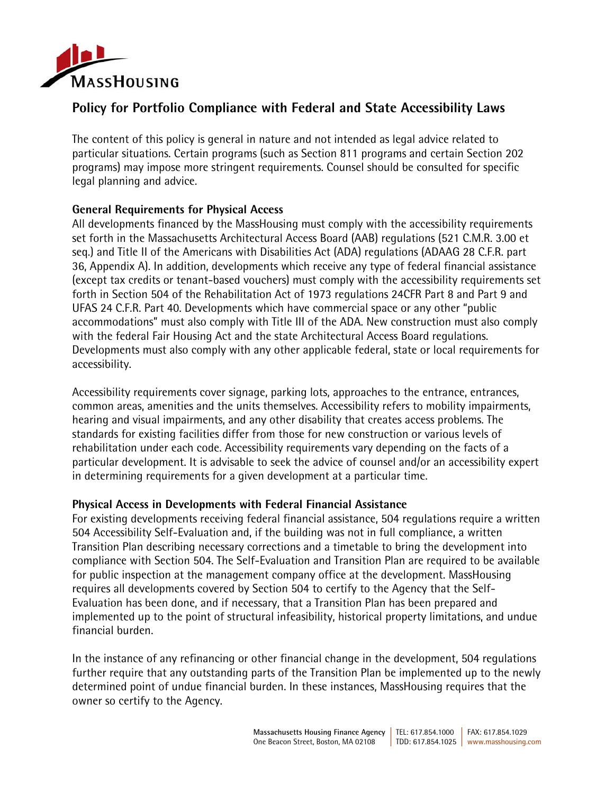

# **Policy for Portfolio Compliance with Federal and State Accessibility Laws**

The content of this policy is general in nature and not intended as legal advice related to particular situations. Certain programs (such as Section 811 programs and certain Section 202 programs) may impose more stringent requirements. Counsel should be consulted for specific legal planning and advice.

## **General Requirements for Physical Access**

All developments financed by the MassHousing must comply with the accessibility requirements set forth in the Massachusetts Architectural Access Board (AAB) regulations (521 C.M.R. 3.00 et seq.) and Title II of the Americans with Disabilities Act (ADA) regulations (ADAAG 28 C.F.R. part 36, Appendix A). In addition, developments which receive any type of federal financial assistance (except tax credits or tenant-based vouchers) must comply with the accessibility requirements set forth in Section 504 of the Rehabilitation Act of 1973 regulations 24CFR Part 8 and Part 9 and UFAS 24 C.F.R. Part 40. Developments which have commercial space or any other "public accommodations" must also comply with Title III of the ADA. New construction must also comply with the federal Fair Housing Act and the state Architectural Access Board regulations. Developments must also comply with any other applicable federal, state or local requirements for accessibility.

Accessibility requirements cover signage, parking lots, approaches to the entrance, entrances, common areas, amenities and the units themselves. Accessibility refers to mobility impairments, hearing and visual impairments, and any other disability that creates access problems. The standards for existing facilities differ from those for new construction or various levels of rehabilitation under each code. Accessibility requirements vary depending on the facts of a particular development. It is advisable to seek the advice of counsel and/or an accessibility expert in determining requirements for a given development at a particular time.

## **Physical Access in Developments with Federal Financial Assistance**

For existing developments receiving federal financial assistance, 504 regulations require a written 504 Accessibility Self-Evaluation and, if the building was not in full compliance, a written Transition Plan describing necessary corrections and a timetable to bring the development into compliance with Section 504. The Self-Evaluation and Transition Plan are required to be available for public inspection at the management company office at the development. MassHousing requires all developments covered by Section 504 to certify to the Agency that the Self-Evaluation has been done, and if necessary, that a Transition Plan has been prepared and implemented up to the point of structural infeasibility, historical property limitations, and undue financial burden.

In the instance of any refinancing or other financial change in the development, 504 regulations further require that any outstanding parts of the Transition Plan be implemented up to the newly determined point of undue financial burden. In these instances, MassHousing requires that the owner so certify to the Agency.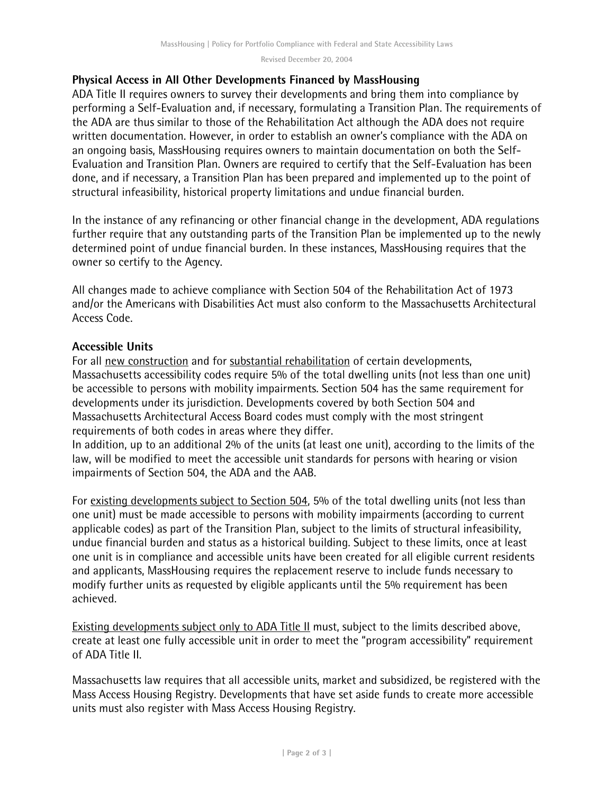**Revised December 20, 2004** 

#### **Physical Access in All Other Developments Financed by MassHousing**

ADA Title II requires owners to survey their developments and bring them into compliance by performing a Self-Evaluation and, if necessary, formulating a Transition Plan. The requirements of the ADA are thus similar to those of the Rehabilitation Act although the ADA does not require written documentation. However, in order to establish an owner's compliance with the ADA on an ongoing basis, MassHousing requires owners to maintain documentation on both the Self-Evaluation and Transition Plan. Owners are required to certify that the Self-Evaluation has been done, and if necessary, a Transition Plan has been prepared and implemented up to the point of structural infeasibility, historical property limitations and undue financial burden.

In the instance of any refinancing or other financial change in the development, ADA regulations further require that any outstanding parts of the Transition Plan be implemented up to the newly determined point of undue financial burden. In these instances, MassHousing requires that the owner so certify to the Agency.

All changes made to achieve compliance with Section 504 of the Rehabilitation Act of 1973 and/or the Americans with Disabilities Act must also conform to the Massachusetts Architectural Access Code.

#### **Accessible Units**

For all new construction and for substantial rehabilitation of certain developments, Massachusetts accessibility codes require 5% of the total dwelling units (not less than one unit) be accessible to persons with mobility impairments. Section 504 has the same requirement for developments under its jurisdiction. Developments covered by both Section 504 and Massachusetts Architectural Access Board codes must comply with the most stringent requirements of both codes in areas where they differ.

In addition, up to an additional 2% of the units (at least one unit), according to the limits of the law, will be modified to meet the accessible unit standards for persons with hearing or vision impairments of Section 504, the ADA and the AAB.

For existing developments subject to Section 504, 5% of the total dwelling units (not less than one unit) must be made accessible to persons with mobility impairments (according to current applicable codes) as part of the Transition Plan, subject to the limits of structural infeasibility, undue financial burden and status as a historical building. Subject to these limits, once at least one unit is in compliance and accessible units have been created for all eligible current residents and applicants, MassHousing requires the replacement reserve to include funds necessary to modify further units as requested by eligible applicants until the 5% requirement has been achieved.

Existing developments subject only to ADA Title II must, subject to the limits described above, create at least one fully accessible unit in order to meet the "program accessibility" requirement of ADA Title II.

Massachusetts law requires that all accessible units, market and subsidized, be registered with the Mass Access Housing Registry. Developments that have set aside funds to create more accessible units must also register with Mass Access Housing Registry.